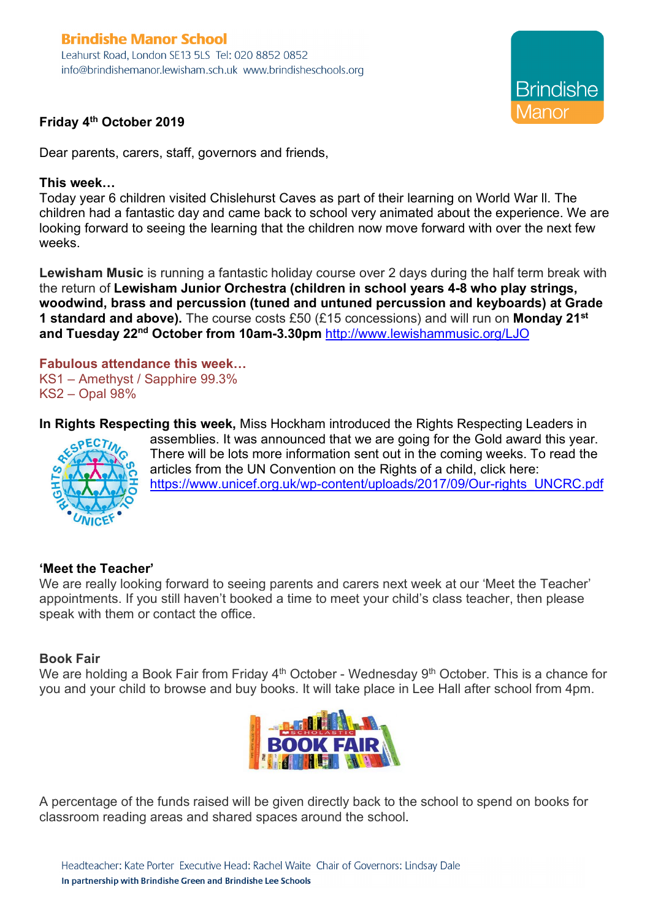### **Brindishe Manor School** Leahurst Road, London SE13 5LS Tel: 020 8852 0852 info@brindishemanor.lewisham.sch.uk www.brindisheschools.org



# **Friday 4th October 2019**

Dear parents, carers, staff, governors and friends,

## **This week…**

Today year 6 children visited Chislehurst Caves as part of their learning on World War ll. The children had a fantastic day and came back to school very animated about the experience. We are looking forward to seeing the learning that the children now move forward with over the next few weeks.

**Lewisham Music** is running a fantastic holiday course over 2 days during the half term break with the return of **Lewisham Junior Orchestra (children in school years 4-8 who play strings, woodwind, brass and percussion (tuned and untuned percussion and keyboards) at Grade 1 standard and above).** The course costs £50 (£15 concessions) and will run on **Monday 21st and Tuesday 22nd October from 10am-3.30pm** http://www.lewishammusic.org/LJO

#### **Fabulous attendance this week…** KS1 – Amethyst / Sapphire 99.3% KS2 – Opal 98%

**In Rights Respecting this week,** Miss Hockham introduced the Rights Respecting Leaders in



assemblies. It was announced that we are going for the Gold award this year. There will be lots more information sent out in the coming weeks. To read the articles from the UN Convention on the Rights of a child, click here: https://www.unicef.org.uk/wp-content/uploads/2017/09/Our-rights\_UNCRC.pdf

## **'Meet the Teacher'**

We are really looking forward to seeing parents and carers next week at our 'Meet the Teacher' appointments. If you still haven't booked a time to meet your child's class teacher, then please speak with them or contact the office.

## **Book Fair**

We are holding a Book Fair from Friday 4<sup>th</sup> October - Wednesday 9<sup>th</sup> October. This is a chance for you and your child to browse and buy books. It will take place in Lee Hall after school from 4pm.



A percentage of the funds raised will be given directly back to the school to spend on books for classroom reading areas and shared spaces around the school.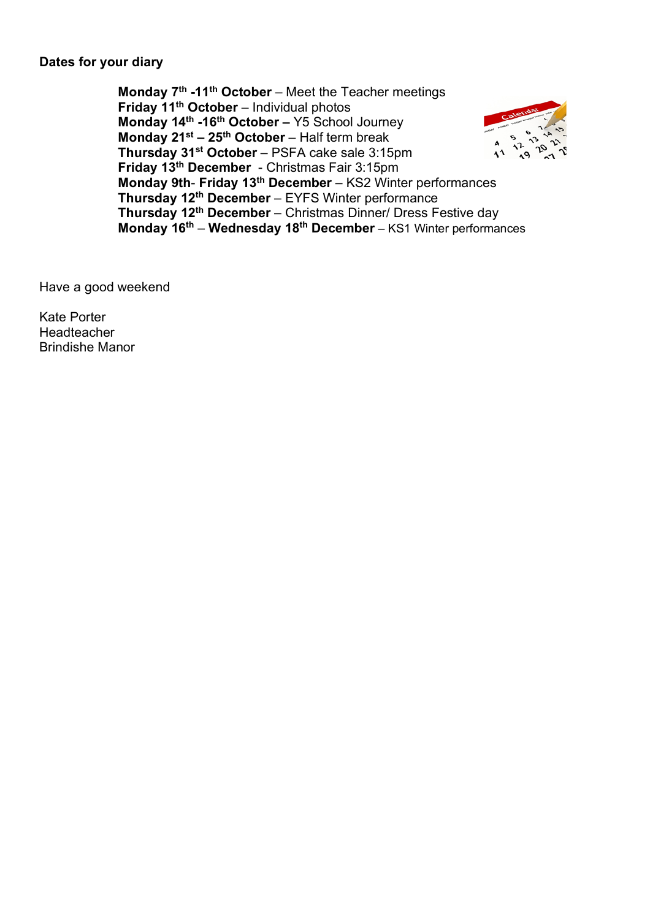## **Dates for your diary**

**Monday 7th -11th October** – Meet the Teacher meetings **Friday 11th October** – Individual photos **Monday 14th -16th October –** Y5 School Journey **Monday 21st – 25th October** – Half term break **Thursday 31st October** – PSFA cake sale 3:15pm **Friday 13th December** - Christmas Fair 3:15pm **Monday 9th**- **Friday 13th December** – KS2 Winter performances **Thursday 12th December** – EYFS Winter performance **Thursday 12th December** – Christmas Dinner/ Dress Festive day **Monday 16th** – **Wednesday 18th December** – KS1 Winter performances

Have a good weekend

Kate Porter Headteacher Brindishe Manor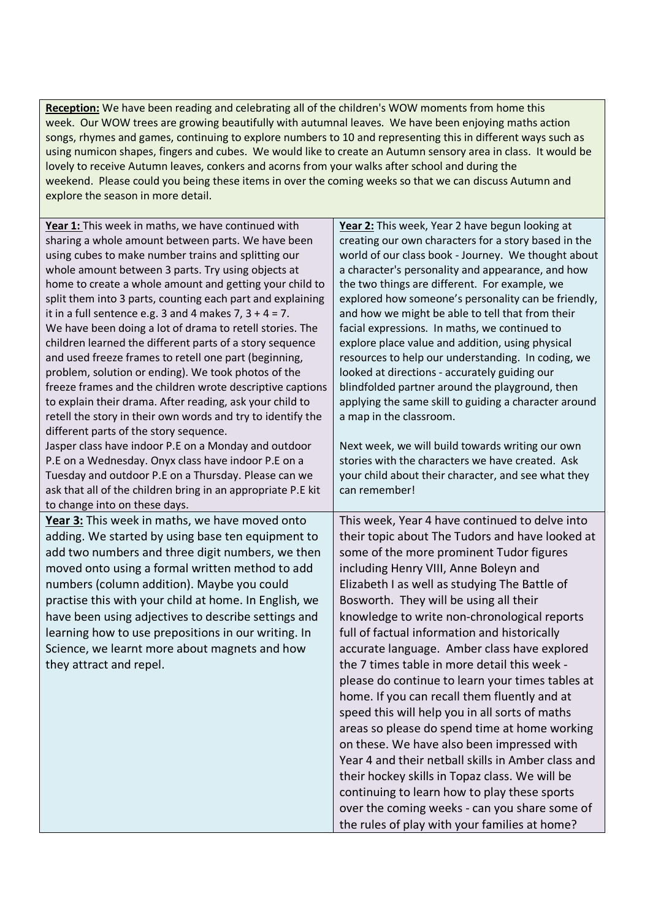**Reception:** We have been reading and celebrating all of the children's WOW moments from home this week. Our WOW trees are growing beautifully with autumnal leaves. We have been enjoying maths action songs, rhymes and games, continuing to explore numbers to 10 and representing this in different ways such as using numicon shapes, fingers and cubes. We would like to create an Autumn sensory area in class. It would be lovely to receive Autumn leaves, conkers and acorns from your walks after school and during the weekend. Please could you being these items in over the coming weeks so that we can discuss Autumn and explore the season in more detail.

| Year 1: This week in maths, we have continued with           | Year 2: This week, Year 2 have begun looking at       |
|--------------------------------------------------------------|-------------------------------------------------------|
| sharing a whole amount between parts. We have been           | creating our own characters for a story based in the  |
| using cubes to make number trains and splitting our          | world of our class book - Journey. We thought about   |
| whole amount between 3 parts. Try using objects at           | a character's personality and appearance, and how     |
| home to create a whole amount and getting your child to      | the two things are different. For example, we         |
| split them into 3 parts, counting each part and explaining   | explored how someone's personality can be friendly,   |
| it in a full sentence e.g. 3 and 4 makes 7, $3 + 4 = 7$ .    | and how we might be able to tell that from their      |
| We have been doing a lot of drama to retell stories. The     | facial expressions. In maths, we continued to         |
| children learned the different parts of a story sequence     | explore place value and addition, using physical      |
| and used freeze frames to retell one part (beginning,        | resources to help our understanding. In coding, we    |
| problem, solution or ending). We took photos of the          | looked at directions - accurately guiding our         |
| freeze frames and the children wrote descriptive captions    | blindfolded partner around the playground, then       |
| to explain their drama. After reading, ask your child to     | applying the same skill to guiding a character around |
| retell the story in their own words and try to identify the  | a map in the classroom.                               |
| different parts of the story sequence.                       |                                                       |
| Jasper class have indoor P.E on a Monday and outdoor         | Next week, we will build towards writing our own      |
| P.E on a Wednesday. Onyx class have indoor P.E on a          | stories with the characters we have created. Ask      |
| Tuesday and outdoor P.E on a Thursday. Please can we         | your child about their character, and see what they   |
| ask that all of the children bring in an appropriate P.E kit | can remember!                                         |
| to change into on these days.                                |                                                       |
| Year 3: This week in maths, we have moved onto               | This week, Year 4 have continued to delve into        |
| adding. We started by using base ten equipment to            | their topic about The Tudors and have looked at       |
| add two numbers and three digit numbers, we then             | some of the more prominent Tudor figures              |
| moved onto using a formal written method to add              | including Henry VIII, Anne Boleyn and                 |
| numbers (column addition). Maybe you could                   | Elizabeth I as well as studying The Battle of         |
| practise this with your child at home. In English, we        | Bosworth. They will be using all their                |
| have been using adjectives to describe settings and          | knowledge to write non-chronological reports          |
| learning how to use prepositions in our writing. In          | full of factual information and historically          |
| Science, we learnt more about magnets and how                | accurate language. Amber class have explored          |
| they attract and repel.                                      | the 7 times table in more detail this week -          |
|                                                              | please do continue to learn your times tables at      |
|                                                              | home. If you can recall them fluently and at          |
|                                                              | speed this will help you in all sorts of maths        |
|                                                              |                                                       |
|                                                              | areas so please do spend time at home working         |
|                                                              | on these. We have also been impressed with            |
|                                                              | Year 4 and their netball skills in Amber class and    |
|                                                              | their hockey skills in Topaz class. We will be        |
|                                                              | continuing to learn how to play these sports          |
|                                                              | over the coming weeks - can you share some of         |
|                                                              | the rules of play with your families at home?         |